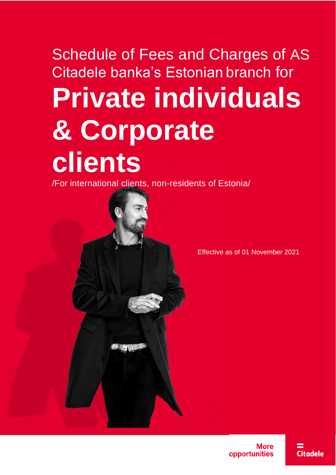# Schedule of Fees and Charges of AS Citadele banka's Estonian branch for **Private individuals & Corporate clients**

/For international clients, non-residents of Estonia/



Effective as of 01 November 2021

More opportunities

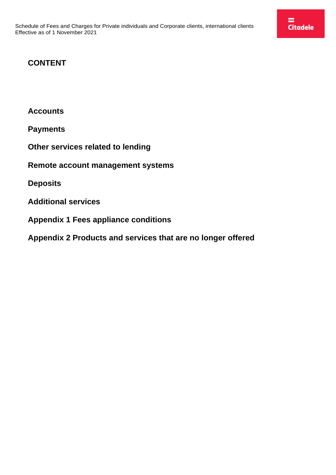### **CONTENT**

**[Accounts](#page-2-0)**

**[Payments](#page-2-1)**

**[Other services related to lending](#page-5-0)**

**[Remote account management systems](#page-7-0)**

**[Deposits](#page-7-1)**

**[Additional services](#page-8-0)**

**[Appendix 1 Fees appliance conditions](#page-9-0)**

**[Appendix 2 Products and services that are no longer offered](#page-11-0)**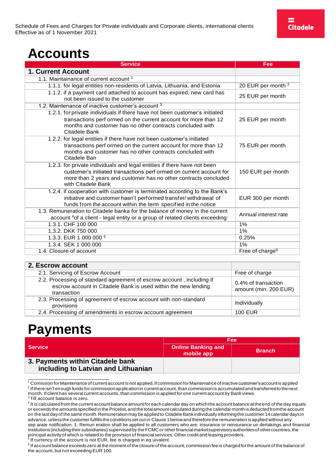# <span id="page-2-0"></span>**Accounts**

| <b>Service</b>                                                                                                                                                          | Fee                           |
|-------------------------------------------------------------------------------------------------------------------------------------------------------------------------|-------------------------------|
| <b>1. Current Account</b>                                                                                                                                               |                               |
| 1.1. Maintainance of current account 1                                                                                                                                  |                               |
| 1.1.1. for legal entities non-residents of Latvia, Lithuania, and Estonia                                                                                               | 20 EUR per month <sup>2</sup> |
| 1.1.2. if a payment card attached to account has expired, new card has<br>not been issued to the customer                                                               | 25 EUR per month              |
| 1.2. Maintenance of inactive customer's account 3                                                                                                                       |                               |
| 1.2.1. for private individuals if there have not been customer's initiated                                                                                              |                               |
| transactions perf ormed on the current account for more than 12<br>months and customer has no other contracts concluded with<br>Citadele Bank                           | 25 EUR per month              |
| 1.2.2. for legal entities if there have not been customer's initiated                                                                                                   |                               |
| transactions perf ormed on the current account for more than 12<br>months and customer has no other contracts concluded with<br>Citadele Ban                            | 75 EUR per month              |
| 1.2.3. for private individuals and legal entities if there have not been                                                                                                |                               |
| customer's initiated transactions perf ormed on current account for<br>more than 2 years and customer has no other contracts concluded<br>with Citadele Bank            | 150 EUR per month             |
| 1.2.4. if cooperation with customer is terminated according to the Bank's                                                                                               |                               |
| initiative and customer hasn't performed transfer/withdrawal of<br>funds from the account within the term specified in the notice                                       | EUR 300 per month             |
| 1.3. Remuneration to Citadele banka for the balance of money in the current<br>account <sup>4</sup> of a client - legal entity or a group of related clients exceeding: | Annual interest rate          |
| 1.3.1. CHF 100 000                                                                                                                                                      | 1%                            |
| 1.3.2. DKK 750 000                                                                                                                                                      | 1%                            |
| 1.3.3. EUR 1 000 000 5                                                                                                                                                  | 0.25%                         |
| 1.3.4. SEK 1 000 000                                                                                                                                                    | 1%                            |
| 1.4. Closure of account                                                                                                                                                 | Free of charge <sup>6</sup>   |

#### **2. Escrow account**

| 2.1. Servicing of Escrow Account                                                                                                                       | Free of charge                               |
|--------------------------------------------------------------------------------------------------------------------------------------------------------|----------------------------------------------|
| 2.2. Processing of standard agreement of escrow account, including if<br>escrow account in Citadele Bank is used within the new lending<br>transaction | 0.4% of transaction<br>amount (min. 200 EUR) |
| 2.3. Processing of agreement of escrow account with non-standard<br>provisions                                                                         | Individually                                 |
| 2.4. Processing of amendments in escrow account agreement                                                                                              | <b>100 EUR</b>                               |

## <span id="page-2-1"></span>**Payments**

|                                                                         | Fee                                     |               |
|-------------------------------------------------------------------------|-----------------------------------------|---------------|
| <b>Service</b>                                                          | <b>Online Banking and</b><br>mobile app | <b>Branch</b> |
| 3. Payments within Citadele bank<br>including to Latvian and Lithuanian |                                         |               |

<span id="page-2-3"></span><span id="page-2-2"></span><sup>&</sup>lt;sup>1</sup> Comission for Maintenance of current account is not applied, if commission for Maintenance of inactive customer's account is applied <sup>2</sup> If there isn't enough funds for commission application in current account, than commission is accumulated and transferred to the next month. If client has several current accounts, than commission is applied for one current account by Bank views.<br><sup>3</sup> Till account balance is zero.

<span id="page-2-4"></span>

<span id="page-2-6"></span> $5$  If currency of the account is not EUR, fee is charged in eq uivalent.

<span id="page-2-5"></span><sup>4</sup> It is calculated fromthe currentaccount balance amountfor eachcalendar day on whichthe account balance atthe end of the day equals or exceeds the amountsspecified in thePricelist, and the totalamount calculated duringthe calendar monthisdeducted fromthe account on the last day of the same month. Remuneration may be applied to Citadele Bankindividually informing the customer 14 calendar days in advance, unless the customer fulfills the conditions set out in Clause 1 belowand therefore the remuneration is applied without any sep arate notification. 1. Remun eration shall be applied to all customers who are: insurance or reinsurance un dertakings and financial institutions(includingtheir subsidiaries) supervisedby theFCMCor otherfinancialmarketsupervisoryauthoritiesof othercountries,the principal activity of which is related to the provision of financial services; Other credit and leasing providers.

<span id="page-2-7"></span><sup>&</sup>lt;sup>6</sup> If account balance exceeds zero at the moment of the closure of the account, commission fee is charged for the amount of the balance of the account, but not exceeding EUR 100.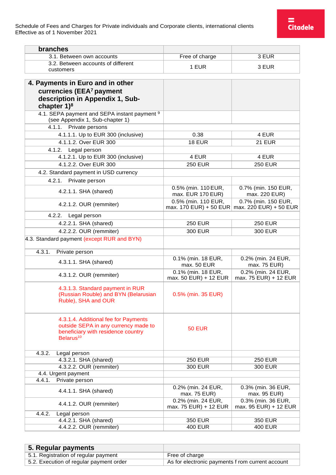| branches                                                                                                                                    |                                               |                                               |
|---------------------------------------------------------------------------------------------------------------------------------------------|-----------------------------------------------|-----------------------------------------------|
| 3.1. Between own accounts                                                                                                                   | Free of charge                                | 3 EUR                                         |
| 3.2. Between accounts of different                                                                                                          |                                               |                                               |
| customers                                                                                                                                   | 1 EUR                                         | 3 EUR                                         |
|                                                                                                                                             |                                               |                                               |
| 4. Payments in Euro and in other                                                                                                            |                                               |                                               |
| currencies (EEA <sup>7</sup> payment                                                                                                        |                                               |                                               |
| description in Appendix 1, Sub-                                                                                                             |                                               |                                               |
| chapter $1$ <sup>8</sup>                                                                                                                    |                                               |                                               |
| 4.1. SEPA payment and SEPA instant payment 9<br>(see Appendix 1, Sub-chapter 1)                                                             |                                               |                                               |
| 4.1.1. Private persons                                                                                                                      |                                               |                                               |
| 4.1.1.1. Up to EUR 300 (inclusive)                                                                                                          | 0.38                                          | 4 EUR                                         |
| 4.1.1.2. Over EUR 300                                                                                                                       | <b>18 EUR</b>                                 | <b>21 EUR</b>                                 |
| Legal person<br>4.1.2.                                                                                                                      |                                               |                                               |
| 4.1.2.1. Up to EUR 300 (inclusive)                                                                                                          | 4 EUR                                         | 4 EUR                                         |
| 4.1.2.2. Over EUR 300                                                                                                                       | <b>250 EUR</b>                                | <b>250 EUR</b>                                |
| 4.2. Standard payment in USD currency                                                                                                       |                                               |                                               |
| 4.2.1.<br>Private person                                                                                                                    |                                               |                                               |
|                                                                                                                                             | 0.5% (min. 110 EUR,                           | 0.7% (min. 150 EUR,                           |
| 4.2.1.1. SHA (shared)                                                                                                                       | max. EUR 170 EUR)                             | max. 220 EUR)                                 |
| 4.2.1.2. OUR (remmiter)                                                                                                                     | 0.5% (min. 110 EUR,<br>max. 170 EUR) + 50 EUR | 0.7% (min. 150 EUR,<br>max. 220 EUR) + 50 EUR |
| 4.2.2.<br>Legal person                                                                                                                      |                                               |                                               |
| 4.2.2.1. SHA (shared)                                                                                                                       | <b>250 EUR</b>                                | <b>250 EUR</b>                                |
| 4.2.2.2. OUR (remmiter)                                                                                                                     | 300 EUR                                       | 300 EUR                                       |
| 4.3. Standard payment (except RUR and BYN)                                                                                                  |                                               |                                               |
|                                                                                                                                             |                                               |                                               |
| 4.3.1.<br>Private person                                                                                                                    |                                               |                                               |
| 4.3.1.1. SHA (shared)                                                                                                                       | 0.1% (min. 18 EUR,<br>max. 50 EUR             | 0.2% (min. 24 EUR,<br>max. 75 EUR)            |
| 4.3.1.2. OUR (remmiter)                                                                                                                     | 0.1% (min. 18 EUR,<br>max. 50 EUR) + 12 EUR   | 0.2% (min. 24 EUR,<br>max. 75 EUR) + 12 EUR   |
| 4.3.1.3. Standard payment in RUR<br>(Russian Rouble) and BYN (Belarusian<br>Ruble), SHA and OUR                                             | 0.5% (min. 35 EUR)                            |                                               |
| 4.3.1.4. Additional fee for Payments<br>outside SEPA in any currency made to<br>beneficiary with residence country<br>Belarus <sup>10</sup> | <b>50 EUR</b>                                 |                                               |
| 4.3.2.<br>Legal person                                                                                                                      |                                               |                                               |
| 4.3.2.1. SHA (shared)                                                                                                                       | <b>250 EUR</b>                                | <b>250 EUR</b>                                |
| 4.3.2.2. OUR (remmiter)                                                                                                                     | <b>300 EUR</b>                                | <b>300 EUR</b>                                |
| 4.4. Urgent payment                                                                                                                         |                                               |                                               |
| Private person<br>4.4.1.                                                                                                                    |                                               |                                               |
| 4.4.1.1. SHA (shared)                                                                                                                       | 0.2% (min. 24 EUR,<br>max. 75 EUR)            | 0.3% (min. 36 EUR,<br>max. 95 EUR)            |
| 4.4.1.2. OUR (remmiter)                                                                                                                     | 0.2% (min. 24 EUR,<br>max. 75 EUR) + 12 EUR   | 0.3% (min. 36 EUR,<br>max. 95 EUR) + 12 EUR   |
| 4.4.2.<br>Legal person                                                                                                                      |                                               |                                               |
| 4.4.2.1. SHA (shared)                                                                                                                       | <b>350 EUR</b>                                | <b>350 EUR</b>                                |
| 4.4.2.2. OUR (remmiter)                                                                                                                     | <b>400 EUR</b>                                | <b>400 EUR</b>                                |

| 5. Regular payments                     |                                                  |
|-----------------------------------------|--------------------------------------------------|
| 5.1. Registration of regular payment    | Free of charge                                   |
| 5.2. Execution of regular payment order | As for electronic payments f rom current account |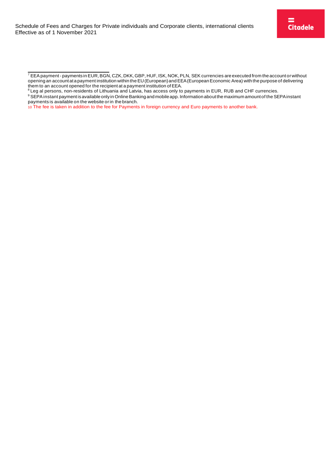<span id="page-4-0"></span> $\frac{7}{7}$  EEA payment-payments in EUR, BGN, CZK, DKK, GBP, HUF, ISK, NOK, PLN, SEK currencies are executed from the account or without opening an account at a payment institution within the EU (European) and EEA (European Economic Area) with the purpose of delivering them to an account opened for the recipient at a payment institution of EEA.

<span id="page-4-2"></span><span id="page-4-1"></span> $8$  Leg al persons, non-residents of Lithuania and Latvia, has access only to payments in EUR, RUB and CHF currencies. 9 SEPA instant payment is available only in Online Banking and mobile app. Information about the maximum amount of the SEPA instant payments is available on the website orin the branch.

<sup>10</sup> The fee is taken in addition to the fee for Payments in foreign currency and Euro payments to another bank.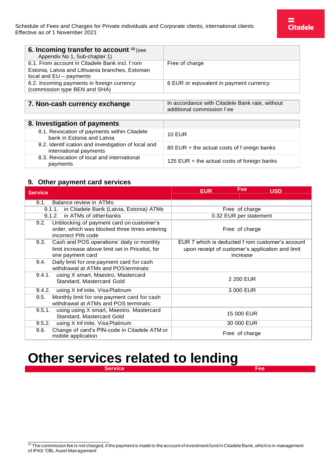| 6. Incoming transfer to account 10 (see<br>Appendix No 1, Sub-chapter 1)      |                                                                              |
|-------------------------------------------------------------------------------|------------------------------------------------------------------------------|
| 6.1. From account in Citadele Bank incl. f rom                                | Free of charge                                                               |
| Estonia, Latvia and Lithuania branches, Estonian                              |                                                                              |
| local and $EU$ – payments                                                     |                                                                              |
| 6.2. Incoming payments in foreign currency                                    | 6 EUR or eqiuvalent in payment currency                                      |
| (commission type BEN and SHA)                                                 |                                                                              |
|                                                                               |                                                                              |
| 7. Non-cash currency exchange                                                 | In accordance with Citadele Bank rate, without<br>additional commission f ee |
|                                                                               |                                                                              |
| 8. Investigation of payments                                                  |                                                                              |
| 8.1. Revocation of payments within Citadele<br>bank in Estonia and Latvia     | <b>10 EUR</b>                                                                |
| 8.2. Identif ication and investigation of local and<br>international payments | 80 EUR + the actual costs of f oreign banks                                  |
| 8.3. Revocation of local and international<br>payments                        | 125 EUR $+$ the actual costs of foreign banks                                |

#### **9. Other payment card services**

| <b>Service</b>                                                                                                            | Fee<br><b>EUR</b><br><b>USD</b>                                                                                  |
|---------------------------------------------------------------------------------------------------------------------------|------------------------------------------------------------------------------------------------------------------|
|                                                                                                                           |                                                                                                                  |
| Balance review in ATMs:<br>9.1.                                                                                           |                                                                                                                  |
| in Citadele Bank (Latvia, Estonia) ATMs<br>9.1.1.                                                                         | Free of charge                                                                                                   |
| 9.1.2. in ATMs of otherbanks                                                                                              | 0.32 EUR per statement                                                                                           |
| Unblocking of payment card on customer's<br>9.2.<br>order, which was blocked three times entering<br>incorrect PIN code   | Free of charge                                                                                                   |
| Cash and POS operations' daily or monthly<br>9.3.<br>limit increase above limit set in Pricelist, for<br>one payment card | EUR 7 which is deducted f rom customer's account<br>upon receipt of customer's application and limit<br>increase |
| 9.4.<br>Daily limit for one payment card for cash<br>withdrawal at ATMs and POS terminals:                                |                                                                                                                  |
| 9.4.1. using X smart, Maestro, Mastercard<br>Standard, Mastercard Gold                                                    | 2 200 EUR                                                                                                        |
| using X Inf inite, Visa Platinum<br>9.4.2.                                                                                | 3 000 EUR                                                                                                        |
| Monthly limit for one payment card for cash<br>9.5.<br>withdrawal at ATMs and POS terminals:                              |                                                                                                                  |
| using using X smart, Maestro, Mastercard<br>9.5.1.<br>Standard, Mastercard Gold                                           | 15 000 EUR                                                                                                       |
| using X Inf inite, Visa Platinum<br>9.5.2.                                                                                | 30 000 EUR                                                                                                       |
| Change of card's PIN-code in Citadele ATM or<br>9.6.<br>mobile application                                                | Free of charge                                                                                                   |

### <span id="page-5-0"></span>**Other services related to lending**

**Service Fee** 

<span id="page-5-1"></span> $10$  The commission fee is not charged, if the payment is made to the account of investment fund in Citadele Bank, which is in management of IPAS 'CBL Asset Management'.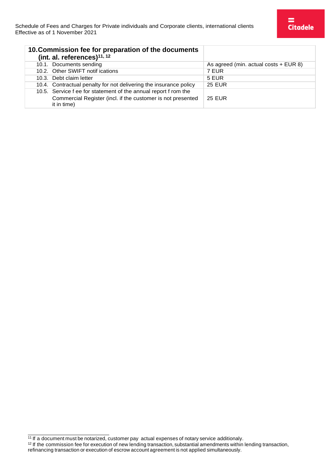| 10. Commission fee for preparation of the documents<br>(int. al. references) $11, 12$ |                                       |
|---------------------------------------------------------------------------------------|---------------------------------------|
| 10.1. Documents sending                                                               | As agreed (min. actual costs + EUR 8) |
| 10.2. Other SWIFT notif ications                                                      | 7 EUR                                 |
| 10.3. Debt claim letter                                                               | 5 EUR                                 |
| 10.4. Contractual penalty for not delivering the insurance policy                     | <b>25 EUR</b>                         |
| 10.5. Service f ee for statement of the annual report f rom the                       |                                       |
| Commercial Register (incl. if the customer is not presented<br>it in time)            | <b>25 EUR</b>                         |

<span id="page-6-0"></span><sup>&</sup>lt;sup>11</sup> If a document must be notarized, customer pay actual expenses of notary service additionaly.

<span id="page-6-1"></span> $12$  If the commission fee for execution of new lending transaction, substantial amendments within lending transaction, refinancing transaction or execution of escrow account agreement is not applied simultaneously.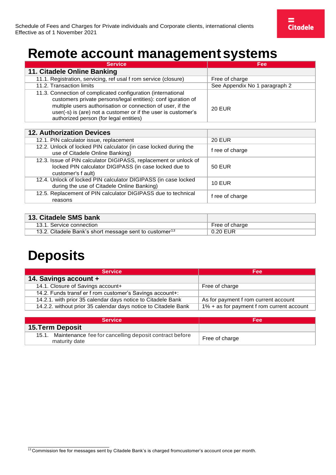### <span id="page-7-0"></span>**Remote account management systems**

| <b>Service</b>                                                                                                                                                                                                                                                                                        | Fee                           |
|-------------------------------------------------------------------------------------------------------------------------------------------------------------------------------------------------------------------------------------------------------------------------------------------------------|-------------------------------|
| 11. Citadele Online Banking                                                                                                                                                                                                                                                                           |                               |
| 11.1. Registration, servicing, ref usal f rom service (closure)                                                                                                                                                                                                                                       | Free of charge                |
| 11.2. Transaction limits                                                                                                                                                                                                                                                                              | See Appendix No 1 paragraph 2 |
| 11.3. Connection of complicated configuration (international<br>customers private persons/legal entities): conf iguration of<br>multiple users authorisation or connection of user, if the<br>user(-s) is (are) not a customer or if the user is customer's<br>authorized person (for legal entities) | <b>20 EUR</b>                 |

| <b>12. Authorization Devices</b>                                                                                                                |                 |
|-------------------------------------------------------------------------------------------------------------------------------------------------|-----------------|
| 12.1. PIN calculator issue, replacement                                                                                                         | <b>20 EUR</b>   |
| 12.2. Unlock of locked PIN calculator (in case locked during the<br>use of Citadele Online Banking)                                             | f ree of charge |
| 12.3. Issue of PIN calculator DIGIPASS, replacement or unlock of<br>locked PIN calculator DIGIPASS (in case locked due to<br>customer's f ault) | 50 EUR          |
| 12.4. Unlock of locked PIN calculator DIGIPASS (in case locked<br>during the use of Citadele Online Banking)                                    | <b>10 EUR</b>   |
| 12.5. Replacement of PIN calculator DIGIPASS due to technical<br>reasons                                                                        | f ree of charge |

| 13. Citadele SMS bank                                              |                |
|--------------------------------------------------------------------|----------------|
| 13.1. Service connection                                           | Free of charge |
| 13.2. Citadele Bank's short message sent to customer <sup>13</sup> | 0.20 EUR       |

# <span id="page-7-1"></span>**Deposits**

| <b>Service</b>                                                 | Fee:                                         |
|----------------------------------------------------------------|----------------------------------------------|
| 14. Savings account +                                          |                                              |
| 14.1. Closure of Savings account+                              | Free of charge                               |
| 14.2. Funds transf er f rom customer's Savings account+:       |                                              |
| 14.2.1. with prior 35 calendar days notice to Citadele Bank    | As for payment f rom current account         |
| 14.2.2. without prior 35 calendar days notice to Citadele Bank | $1\%$ + as for payment f rom current account |

| <b>Service</b>                                                                | Fee            |
|-------------------------------------------------------------------------------|----------------|
| <b>15. Term Deposit</b>                                                       |                |
| 15.1. Maintenance fee for cancelling deposit contract before<br>maturity date | Free of charge |

<span id="page-7-2"></span><sup>13</sup> Commission fee for messages sent by Citadele Bank's is charged fromcustomer's account once per month.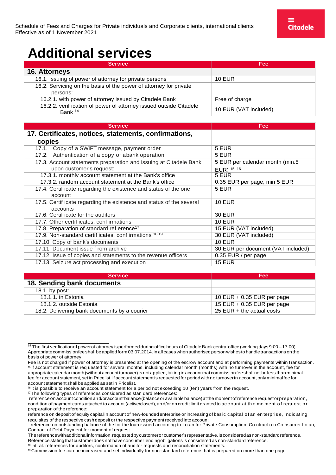# <span id="page-8-0"></span>**Additional services**

| <b>Service</b>                                                                | Fee                   |
|-------------------------------------------------------------------------------|-----------------------|
| 16. Attorneys                                                                 |                       |
| 16.1. Issuing of power of attorney for private persons                        | <b>10 EUR</b>         |
| 16.2. Servicing on the basis of the power of attorney for private             |                       |
| persons:                                                                      |                       |
| 16.2.1. with power of attorney issued by Citadele Bank                        | Free of charge        |
| 16.2.2. verif ication of power of attorney issued outside Citadele<br>Bank 14 | 10 EUR (VAT included) |

| <b>Service</b>                                                       | Fee                                |
|----------------------------------------------------------------------|------------------------------------|
| 17. Certificates, notices, statements, confirmations,                |                                    |
| copies                                                               |                                    |
| 17.1. Copy of a SWIFT message, payment order                         | 5 EUR                              |
| 17.2. Authentication of a copy of abank operation                    | 5 EUR                              |
| 17.3. Account statements preparation and issuing at Citadele Bank    | 5 EUR per calendar month (min.5    |
| upon customer's request:                                             | EUR) 15, 16                        |
| 17.3.1. monthly account statement at the Bank's office               | 5 EUR                              |
| 17.3.2. random account statement at the Bank's office                | 0.35 EUR per page, min 5 EUR       |
| 17.4. Certif icate regarding the existence and status of the one     | 5 EUR                              |
| account                                                              |                                    |
| 17.5. Certif icate regarding the existence and status of the several | <b>10 EUR</b>                      |
| accounts                                                             |                                    |
| 17.6. Certif icate for the auditors                                  | <b>30 EUR</b>                      |
| 17.7. Other certif icates, conf irmations                            | <b>10 EUR</b>                      |
| 17.8. Preparation of standard ref erence <sup>17</sup>               | 15 EUR (VAT included)              |
| 17.9. Non-standard certif icates, conf irmations 18,19               | 30 EUR (VAT included)              |
| 17.10. Copy of bank's documents                                      | <b>10 EUR</b>                      |
| 17.11. Document issue f rom archive                                  | 30 EUR per document (VAT included) |
| 17.12. Issue of copies and statements to the revenue officers        | 0.35 EUR / per page                |
| 17.13. Seizure act processing and execution                          | <b>15 EUR</b>                      |

| <b>Service</b>                               | Fee                          |
|----------------------------------------------|------------------------------|
| 18. Sending bank documents                   |                              |
| 18.1. by post:                               |                              |
| 18.1.1. in Estonia                           | 10 EUR $+$ 0.35 EUR per page |
| 18.1.2. outside Estonia                      | 15 EUR + $0.35$ EUR per page |
| 18.2. Delivering bank documents by a courier | 25 EUR $+$ the actual costs  |

<span id="page-8-4"></span>17 The following types of references considered as stan dard references:

<span id="page-8-6"></span>19 Commission fee can be increased and set individually for non-standard reference that is prepared on more than one page

<span id="page-8-1"></span><sup>&</sup>lt;sup>14</sup> The first verification of power of attorney is performed during office hours of Citadele Bank central office (working days 9:00 – 17:00). Appropriate commissionfee shall be applied form 03.07.2014. in all cases when authorised person wishes to handle transactions on the basis of power of attorney.

<span id="page-8-2"></span>Fee is not charged if power of attorney is presented at the opening of the escrow account and at performing payments within transaction. <sup>15</sup>If account statement is req uested for several months, including calendar month (months) with no turnover in the account, fee for appropriate calendar month (without account turnover) is not applied, taking in account that commission fee shall not be less than minimal fee for account statement, set in Pricelist. If account statement is requested for period with no turnoverin account, onlyminimalfee for account statement shall be applied as set in Pricelist.

<span id="page-8-3"></span><sup>16</sup> It is possible to receive an account statement for a period not exceeding 10 (ten) years from the request.

reference on account condition and/oraccountbalance (balance or available balance) at the moment of reference requestor preparation, condition of payment cards attached to account (active/closed), an d/or on credit limit granted to ac c ount at th e mo ment o f request o r preparation of the reference;

reference on deposit of equity capital in account of new-founded enterprise or increasing of bas ic capital o f an en terpris e, indic ating requisites of the respective cash deposit orthe respective payment received into accoun;

<sup>-</sup> reference on outstanding balance of the for the loan issued according to Lo an for Private Consumption, Co ntract o n Co nsumer Lo an, Contract of Debt Payment for moment of request.

Thereferencewithadditionalinformation,requestedbycustomeror customer'srepresentative,is consideredasnon-standardreference. Reference stating that customerdoes not have consumerlendingobligations is considered as non-standard reference.

<span id="page-8-5"></span><sup>18</sup> Int. al. references for auditors, confirmation of auditor requests and reconciliation statements.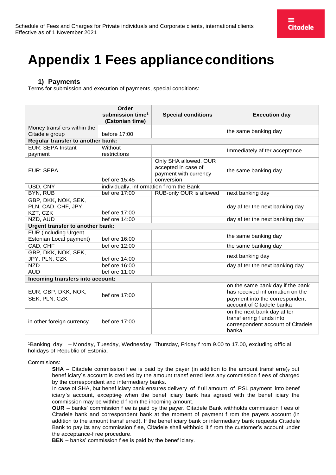# <span id="page-9-0"></span>**Appendix 1 Fees applianceconditions**

### **1) Payments**

Terms for submission and execution of payments, special conditions:

|                                                         | Order<br>submission time <sup>1</sup>     | <b>Special conditions</b>                                                           | <b>Execution day</b>                                                                                                                |
|---------------------------------------------------------|-------------------------------------------|-------------------------------------------------------------------------------------|-------------------------------------------------------------------------------------------------------------------------------------|
|                                                         | (Estonian time)                           |                                                                                     |                                                                                                                                     |
| Money transf ers within the                             |                                           |                                                                                     | the same banking day                                                                                                                |
| Citadele group                                          | before 17:00                              |                                                                                     |                                                                                                                                     |
| Regular transfer to another bank:                       |                                           |                                                                                     |                                                                                                                                     |
| <b>EUR: SEPA Instant</b>                                | Without                                   |                                                                                     | Immediately af ter acceptance                                                                                                       |
| payment                                                 | restrictions                              |                                                                                     |                                                                                                                                     |
| EUR: SEPA                                               | bef ore 15:45                             | Only SHA allowed. OUR<br>accepted in case of<br>payment with currency<br>conversion | the same banking day                                                                                                                |
| USD, CNY                                                | individually, inf ormation f rom the Bank |                                                                                     |                                                                                                                                     |
| <b>BYN, RUB</b>                                         | bef ore 17:00                             | RUB-only OUR is allowed                                                             | next banking day                                                                                                                    |
| GBP, DKK, NOK, SEK,<br>PLN, CAD, CHF, JPY,              |                                           |                                                                                     | day af ter the next banking day                                                                                                     |
| KZT, CZK                                                | bef ore 17:00                             |                                                                                     |                                                                                                                                     |
| NZD, AUD                                                | bef ore 14:00                             |                                                                                     | day af ter the next banking day                                                                                                     |
| Urgent transfer to another bank:                        |                                           |                                                                                     |                                                                                                                                     |
| <b>EUR (including Urgent</b><br>Estonian Local payment) | bef ore 16:00                             |                                                                                     | the same banking day                                                                                                                |
| CAD, CHF                                                | bef ore 12:00                             |                                                                                     | the same banking day                                                                                                                |
| GBP, DKK, NOK, SEK,<br>JPY, PLN, CZK                    | bef ore 14:00                             |                                                                                     | next banking day                                                                                                                    |
| <b>NZD</b>                                              | bef ore 16:00                             |                                                                                     | day af ter the next banking day                                                                                                     |
| <b>AUD</b>                                              | bef ore 11:00                             |                                                                                     |                                                                                                                                     |
| Incoming transfers into account:                        |                                           |                                                                                     |                                                                                                                                     |
| EUR, GBP, DKK, NOK,<br>SEK, PLN, CZK                    | bef ore 17:00                             |                                                                                     | on the same bank day if the bank<br>has received inf ormation on the<br>payment into the correspondent<br>account of Citadele banka |
| in other foreign currency                               | bef ore 17:00                             |                                                                                     | on the next bank day af ter<br>transf erring f unds into<br>correspondent account of Citadele<br>banka                              |

<sup>1</sup>Banking day – Monday, Tuesday, Wednesday, Thursday, Friday f rom 9.00 to 17.00, excluding official holidays of Republic of Estonia.

#### Commisions:

**SHA** – Citadele commission f ee is paid by the payer (in addition to the amount transf erre), but benef iciary's account is credited by the amount transf erred less any commission f ees of charged by the correspondent and intermediary banks.

In case of SHA, but benef iciary bank ensures delivery of f ull amount of PSL payment into benef iciary`s account, excepting when the benef iciary bank has agreed with the benef iciary the commission may be withheld f rom the incoming amount.

**OUR** – banks' commission f ee is paid by the payer. Citadele Bank withholds commission f ees of Citadele bank and correspondent bank at the moment of payment f rom the payers account (in addition to the amount transf erred). If the benef iciary bank or intermediary bank requests Citadele Bank to pay its any commission f ee, Citadele shall withhold it f rom the customer's account under the acceptance-f ree procedure.

**BEN** – banks' commission f ee is paid by the benef iciary.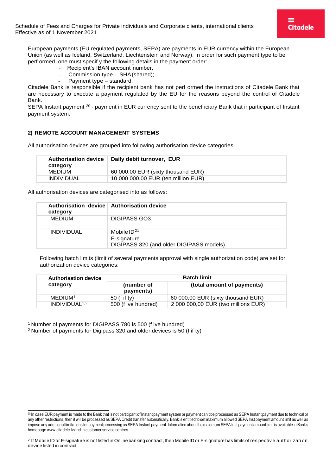Schedule of Fees and Charges for Private individuals and Corporate clients, international clients Effective as of 1 November 2021

European payments (EU regulated payments, SEPA) are payments in EUR currency within the European Union (as well as Iceland, Switzerland, Liechtenstein and Norway). In order for such payment type to be perf ormed, one must specif y the following details in the payment order:

- Recipient's IBAN account number,
- Commission type SHA (shared);
- Payment type standard.

Citadele Bank is responsible if the recipient bank has not perf ormed the instructions of Citadele Bank that are necessary to execute a payment regulated by the EU for the reasons beyond the control of Citadele Bank.

SEPA Instant payment <sup>[20](#page-10-0)</sup> - payment in EUR currency sent to the benef iciary Bank that ir participant of Instant payment system.

#### **2) REMOTE ACCOUNT MANAGEMENT SYSTEMS**

All authorisation devices are grouped into following authorisation device categories:

| <b>Authorisation device</b><br>category | Daily debit turnover, EUR           |
|-----------------------------------------|-------------------------------------|
| <b>MEDIUM</b>                           | 60 000,00 EUR (sixty thousand EUR)  |
| <b>INDIVIDUAL</b>                       | 10 000 000,00 EUR (ten million EUR) |

All authorisation devices are categorised into as follows:

| Authorisation device Authorisation device<br>category |                                                                             |
|-------------------------------------------------------|-----------------------------------------------------------------------------|
| MEDIUM                                                | DIGIPASS GO3                                                                |
| <b>INDIVIDUAL</b>                                     | Mobile $ID^{21}$<br>E-signature<br>DIGIPASS 320 (and older DIGIPASS models) |

Following batch limits (limit of several payments approval with single authorization code) are set for authorization device categories:

| <b>Authorisation device</b> |                         | <b>Batch limit</b>                  |
|-----------------------------|-------------------------|-------------------------------------|
| category                    | (number of<br>payments) | (total amount of payments)          |
| MEDIUM <sup>1</sup>         | 50 (f if ty)            | 60 000,00 EUR (sixty thousand EUR)  |
| INDIVIDUAL <sup>1,2</sup>   | 500 (f ive hundred)     | 2 000 000,00 EUR (two millions EUR) |

<sup>1</sup> Number of payments for DIGIPASS 780 is 500 (f ive hundred)

<sup>2</sup>Number of payments for Digipass 320 and older devices is 50 (f if ty)

<span id="page-10-0"></span><sup>20</sup> In case EUR payment ismade to the Bank that is not participant of Instant payment systemor payment can't be processed as SEPA Instant payment due to technical or any other restrictions, then it will be processed as SEPA Credit transfer automatically. Bank is entitled to set maximum allowed SEPA Inst payment amount limit as well as impose any additional limitations for payment processing as SEPA Instant payment. Information about themaximum SEPAInst payment amountlimit is available in Bank's homepage [www.citadele.lv](http://www.citadele.lv/) and in customer service centres.

<span id="page-10-1"></span><sup>21</sup> If Mobile ID or E-signature is not listed in Online banking contract, then Mobile ID or E-signature has limits of res pectiv e authorizati on device listed in contract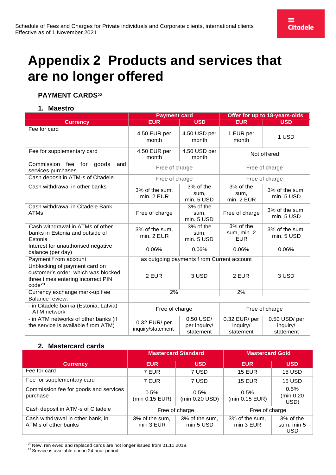# <span id="page-11-0"></span>**Appendix 2 Products and services that are no longer offered**

### **PAYMENT CARDS[22](#page-11-1)**

#### **1. Maestro**

|                                                                                                                           | <b>Payment card</b>               |                                            | Offer for up to 18-years-olds          |                                       |
|---------------------------------------------------------------------------------------------------------------------------|-----------------------------------|--------------------------------------------|----------------------------------------|---------------------------------------|
| <b>Currency</b>                                                                                                           | <b>EUR</b>                        | <b>USD</b>                                 | <b>EUR</b>                             | <b>USD</b>                            |
| Fee for card                                                                                                              | 4.50 EUR per<br>month             | 4.50 USD per<br>month                      | 1 EUR per<br>month                     | 1 USD                                 |
| Fee for supplementary card                                                                                                | 4.50 EUR per<br>month             | 4.50 USD per<br>month                      |                                        | Not offered                           |
| Commission<br>fee<br>for<br>goods<br>and<br>services purchases                                                            | Free of charge                    |                                            |                                        | Free of charge                        |
| Cash deposit in ATM-s of Citadele                                                                                         | Free of charge                    |                                            |                                        | Free of charge                        |
| Cash withdrawal in other banks                                                                                            | 3% of the sum,<br>min. 2 EUR      | 3% of the<br>sum,<br>min. 5 USD            | 3% of the<br>sum,<br>min. 2 EUR        | 3% of the sum,<br>min. 5 USD          |
| Cash withdrawal in Citadele Bank<br><b>ATMs</b>                                                                           | Free of charge                    | 3% of the<br>sum,<br>min. 5 USD            | Free of charge                         | 3% of the sum,<br>min. 5 USD          |
| Cash withdrawal in ATMs of other<br>banks in Estonia and outside of<br>Estonia                                            | 3% of the sum,<br>min. 2 EUR      | 3% of the<br>sum,<br>min. 5 USD            | 3% of the<br>sum, min. 2<br><b>EUR</b> | 3% of the sum,<br>min. 5 USD          |
| Interest for unauthorised negative<br>balance (per day)                                                                   | 0.06%                             | 0.06%                                      | 0.06%                                  | 0.06%                                 |
| Payment f rom account                                                                                                     |                                   | as outgoing payments f rom Current account |                                        |                                       |
| Unblocking of payment card on<br>customer's order, which was blocked<br>three times entering incorrect PIN<br>$code^{23}$ | 2 EUR                             | 3 USD                                      | 2 EUR                                  | 3 USD                                 |
| Currency exchange mark-up f ee                                                                                            | 2%                                |                                            | 2%                                     |                                       |
| Balance review:                                                                                                           |                                   |                                            |                                        |                                       |
| - in Citadele banka (Estonia, Latvia)<br><b>ATM</b> network                                                               | Free of charge                    |                                            |                                        | Free of charge                        |
| - in ATM networks of other banks (if<br>the service is available f rom ATM)                                               | 0.32 EUR/per<br>inquiry/statement | 0.50 USD/<br>per inquiry/<br>statement     | 0.32 EUR/per<br>inquiry/<br>statement  | 0.50 USD/per<br>inquiry/<br>statement |

#### **2. Mastercard cards**

|                                                           | <b>Mastercard Standard</b>  |                             | <b>Mastercard Gold</b>      |                                       |
|-----------------------------------------------------------|-----------------------------|-----------------------------|-----------------------------|---------------------------------------|
| <b>Currency</b>                                           | <b>EUR</b>                  | <b>USD</b>                  | <b>EUR</b>                  | <b>USD</b>                            |
| Fee for card                                              | 7 EUR                       | 7 USD                       | <b>15 EUR</b>               | <b>15 USD</b>                         |
| Fee for supplementary card                                | 7 EUR                       | 7 USD                       | <b>15 EUR</b>               | <b>15 USD</b>                         |
| Commission fee for goods and services<br>purchase         | 0.5%<br>(min 0.15 EUR)      | 0.5%<br>(min 0.20 USD)      | 0.5%<br>(min 0.15 EUR)      | 0.5%<br>(min 0.20<br>USD)             |
| Cash deposit in ATM-s of Citadele                         | Free of charge              |                             | Free of charge              |                                       |
| Cash withdrawal in other bank, in<br>ATM's of other banks | 3% of the sum,<br>min 3 EUR | 3% of the sum,<br>min 5 USD | 3% of the sum,<br>min 3 EUR | 3% of the<br>sum, min 5<br><b>USD</b> |

<span id="page-11-1"></span> $\frac{22}{2}$ New, ren ewed and replaced cards are not longer issued from 01.11.2019.

<span id="page-11-2"></span> $23$  Service is available one in 24 hour period.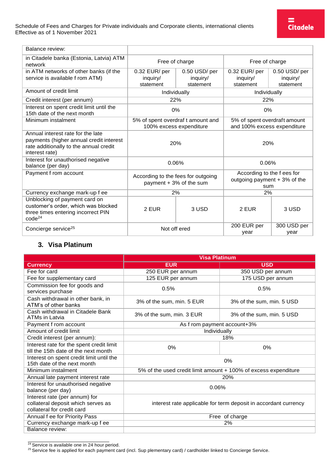| Balance review:                                                                                     |                                                               |                          |                                                                   |                          |
|-----------------------------------------------------------------------------------------------------|---------------------------------------------------------------|--------------------------|-------------------------------------------------------------------|--------------------------|
| in Citadele banka (Estonia, Latvia) ATM<br>network                                                  | Free of charge                                                |                          | Free of charge                                                    |                          |
| in ATM networks of other banks (if the<br>service is available f rom ATM)                           | 0.32 EUR/per<br>inguiry/                                      | 0.50 USD/per<br>inquiry/ | 0.32 EUR/per<br>inguiry/                                          | 0.50 USD/per<br>inquiry/ |
|                                                                                                     | statement                                                     | statement                | statement                                                         | statement                |
| Amount of credit limit                                                                              | Individually                                                  |                          | Individually                                                      |                          |
| Credit interest (per annum)                                                                         | 22%                                                           |                          | 22%                                                               |                          |
| Interest on spent credit limit until the<br>15th date of the next month                             | $0\%$                                                         |                          | $0\%$                                                             |                          |
| Minimum instalment                                                                                  | 5% of spent overdraf t amount and<br>100% excess expenditure  |                          | 5% of spent overdraft amount<br>and 100% excess expenditure       |                          |
| Annual interest rate for the late                                                                   |                                                               |                          |                                                                   |                          |
| payments (higher annual credit interest<br>rate additionally to the annual credit<br>interest rate) | 20%                                                           |                          | 20%                                                               |                          |
| Interest for unauthorised negative<br>balance (per day)                                             | 0.06%                                                         |                          | 0.06%                                                             |                          |
| Payment f rom account                                                                               | According to the fees for outgoing<br>payment + 3% of the sum |                          | According to the f ees for<br>outgoing payment + 3% of the<br>sum |                          |
| Currency exchange mark-up f ee                                                                      | 2%                                                            |                          | 2%                                                                |                          |
| Unblocking of payment card on                                                                       |                                                               |                          |                                                                   |                          |
| customer's order, which was blocked<br>three times entering incorrect PIN<br>$code^{24}$            | 2 EUR                                                         | 3 USD                    | 2 EUR                                                             | 3 USD                    |
| Concierge service <sup>25</sup>                                                                     | Not off ered                                                  |                          | 200 EUR per<br>year                                               | 300 USD per<br>year      |

### **3. Visa Platinum**

|                                                                                                   | <b>Visa Platinum</b>                                            |                           |  |
|---------------------------------------------------------------------------------------------------|-----------------------------------------------------------------|---------------------------|--|
| <b>Currency</b>                                                                                   | <b>EUR</b>                                                      | <b>USD</b>                |  |
| Fee for card                                                                                      | 250 EUR per annum                                               | 350 USD per annum         |  |
| Fee for supplementary card                                                                        | 125 EUR per annum                                               | 175 USD per annum         |  |
| Commission fee for goods and<br>services purchase                                                 | 0.5%                                                            | 0.5%                      |  |
| Cash withdrawal in other bank, in<br>ATM's of other banks                                         | 3% of the sum, min. 5 EUR                                       | 3% of the sum, min. 5 USD |  |
| Cash withdrawal in Citadele Bank<br>ATMs in Latvia                                                | 3% of the sum, min. 3 EUR                                       | 3% of the sum, min. 5 USD |  |
| Payment f rom account                                                                             | As f rom payment account+3%                                     |                           |  |
| Amount of credit limit                                                                            | Individually                                                    |                           |  |
| Credit interest (per annum):                                                                      | 18%                                                             |                           |  |
| Interest rate for the spent credit limit<br>till the 15th date of the next month                  | 0%                                                              | 0%                        |  |
| Interest on spent credit limit until the<br>15th date of the next month                           |                                                                 | 0%                        |  |
| Minimum instalment                                                                                | 5% of the used credit limit amount + 100% of excess expenditure |                           |  |
| Annual late payment interest rate                                                                 |                                                                 | 20%                       |  |
| Interest for unauthorised negative<br>balance (per day)                                           | 0.06%                                                           |                           |  |
| Interest rate (per annum) for<br>collateral deposit which serves as<br>collateral for credit card | interest rate applicable for term deposit in accordant currency |                           |  |
| Annual f ee for Priority Pass                                                                     | Free of charge                                                  |                           |  |
| Currency exchange mark-up f ee                                                                    | 2%                                                              |                           |  |
| Balance review:                                                                                   |                                                                 |                           |  |

<span id="page-12-0"></span><sup>24</sup> Service is available one in 24 hour period.

<span id="page-12-1"></span><sup>25</sup> Service fee is applied for each payment card (incl. Sup plementary card) / cardholder linked to Concierge Service.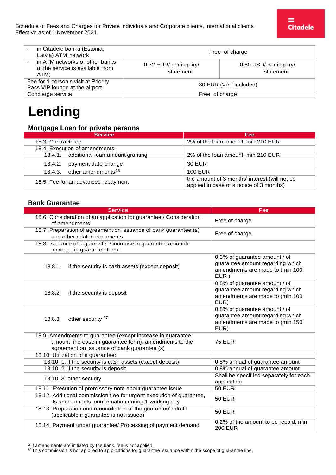| in Citadele banka (Estonia,<br>Latvia) ATM network                          | Free of charge                      |                                     |
|-----------------------------------------------------------------------------|-------------------------------------|-------------------------------------|
| in ATM networks of other banks<br>(if the service is available from<br>ATM) | 0.32 EUR/ per inquiry/<br>statement | 0.50 USD/ per inquiry/<br>statement |
| Fee for 1 person's visit at Priority<br>Pass VIP lounge at the airport      | 30 EUR (VAT included)               |                                     |
| Concierge service                                                           | Free of charge                      |                                     |

# **Lending**

#### **Mortgage Loan for private persons**

| <b>Service</b>                          | <b>Fee</b>                                                                                |
|-----------------------------------------|-------------------------------------------------------------------------------------------|
| 18.3. Contract f ee                     | 2% of the loan amount, min 210 EUR                                                        |
| 18.4. Execution of amendments:          |                                                                                           |
| 18.4.1. additional loan amount granting | 2% of the loan amount, min 210 EUR                                                        |
| payment date change<br>18.4.2.          | 30 EUR                                                                                    |
| 18.4.3. other amendments $26$           | <b>100 EUR</b>                                                                            |
| 18.5. Fee for an advanced repayment     | the amount of 3 months' interest (will not be<br>applied in case of a notice of 3 months) |

#### **Bank Guarantee**

| <b>Service</b>                                                                                                                                                       | Fee                                                                                                          |
|----------------------------------------------------------------------------------------------------------------------------------------------------------------------|--------------------------------------------------------------------------------------------------------------|
| 18.6. Consideration of an application for guarantee / Consideration<br>of amendments                                                                                 | Free of charge                                                                                               |
| 18.7. Preparation of agreement on issuance of bank guarantee (s)<br>and other related documents                                                                      | Free of charge                                                                                               |
| 18.8. Issuance of a guarantee/ increase in guarantee amount/<br>increase in guarantee term:                                                                          |                                                                                                              |
| 18.8.1.<br>if the security is cash assets (except deposit)                                                                                                           | 0.3% of guarantee amount / of<br>guarantee amount regarding which<br>amendments are made to (min 100<br>EUR) |
| 18.8.2.<br>if the security is deposit                                                                                                                                | 0.8% of guarantee amount / of<br>guarantee amount regarding which<br>amendments are made to (min 100<br>EUR) |
| other security <sup>27</sup><br>18.8.3.                                                                                                                              | 0.8% of guarantee amount / of<br>guarantee amount regarding which<br>amendments are made to (min 150<br>EUR) |
| 18.9. Amendments to guarantee (except increase in guarantee<br>amount, increase in guarantee term), amendments to the<br>agreement on issuance of bank guarantee (s) | <b>75 EUR</b>                                                                                                |
| 18.10. Utilization of a guarantee:                                                                                                                                   |                                                                                                              |
| 18.10. 1. if the security is cash assets (except deposit)                                                                                                            | 0.8% annual of guarantee amount                                                                              |
| 18.10. 2. if the security is deposit<br>18.10. 3. other security                                                                                                     | 0.8% annual of guarantee amount<br>Shall be specif ied separately for each<br>application                    |
| 18.11. Execution of promissory note about guarantee issue                                                                                                            | <b>50 EUR</b>                                                                                                |
| 18.12. Additional commission f ee for urgent execution of guarantee,<br>its amendments, conf irmation during 1 working day                                           | <b>50 EUR</b>                                                                                                |
| 18.13. Preparation and reconciliation of the guarantee's draf t<br>(applicable if guarantee is not issued)                                                           | <b>50 EUR</b>                                                                                                |
| 18.14. Payment under guarantee/ Processing of payment demand                                                                                                         | 0.2% of the amount to be repaid, min<br><b>200 EUR</b>                                                       |

<span id="page-13-0"></span><sup>&</sup>lt;sup>26</sup> If amendments are initiated by the bank, fee is not applied.

<span id="page-13-1"></span> $^{27}$ This commission is not ap plied to ap plications for guarantee issuance within the scope of guarantee line.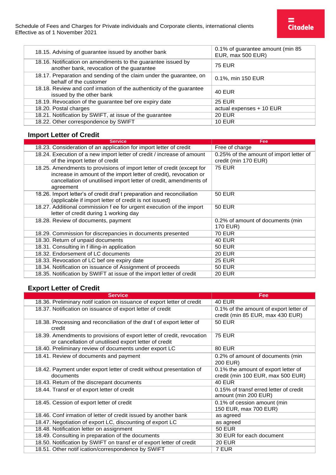| 18.15. Advising of guarantee issued by another bank                                                       | 0.1% of guarantee amount (min 85<br>EUR, max 500 EUR) |
|-----------------------------------------------------------------------------------------------------------|-------------------------------------------------------|
| 18.16. Notification on amendments to the guarantee issued by<br>another bank, revocation of the guarantee | <b>75 EUR</b>                                         |
| 18.17. Preparation and sending of the claim under the guarantee, on<br>behalf of the customer             | 0.1%, min 150 EUR                                     |
| 18.18. Review and confirmation of the authenticity of the guarantee<br>issued by the other bank           | <b>40 EUR</b>                                         |
| 18.19. Revocation of the guarantee bef ore expiry date                                                    | <b>25 EUR</b>                                         |
| 18.20. Postal charges                                                                                     | actual expenses + 10 EUR                              |
| 18.21. Notification by SWIFT, at issue of the guarantee                                                   | <b>20 EUR</b>                                         |
| 18.22. Other correspondence by SWIFT                                                                      | <b>10 EUR</b>                                         |

### **Import Letter of Credit**

| Fee                                     |
|-----------------------------------------|
| Free of charge                          |
| 0.25% of the amount of import letter of |
| credit (min 170 EUR)                    |
| <b>75 EUR</b>                           |
|                                         |
|                                         |
|                                         |
| 50 EUR                                  |
|                                         |
| <b>50 EUR</b>                           |
|                                         |
| 0.2% of amount of documents (min)       |
| 170 EUR)                                |
| <b>70 EUR</b>                           |
| <b>40 EUR</b>                           |
| <b>50 EUR</b>                           |
| <b>20 EUR</b>                           |
| <b>25 EUR</b>                           |
| <b>50 EUR</b>                           |
| <b>20 EUR</b>                           |
|                                         |

### **Export Letter of Credit**

| <b>Service</b>                                                                                                                  | Fee                                                            |
|---------------------------------------------------------------------------------------------------------------------------------|----------------------------------------------------------------|
| 18.36. Preliminary notif ication on issuance of export letter of credit                                                         | <b>40 EUR</b>                                                  |
| 18.37. Notification on issuance of export letter of credit                                                                      | 0.1% of the amount of export letter of                         |
|                                                                                                                                 | credit (min 85 EUR, max 430 EUR)                               |
| 18.38. Processing and reconciliation of the draf t of export letter of<br>credit                                                | <b>50 EUR</b>                                                  |
| 18.39. Amendments to provisions of export letter of credit, revocation<br>or cancellation of unutilised export letter of credit | <b>75 EUR</b>                                                  |
| 18.40. Preliminary review of documents under export LC                                                                          | <b>80 EUR</b>                                                  |
| 18.41. Review of documents and payment                                                                                          | 0.2% of amount of documents (min                               |
|                                                                                                                                 | 200 EUR)                                                       |
| 18.42. Payment under export letter of credit without presentation of                                                            | 0.1% the amount of export letter of                            |
| documents                                                                                                                       | credit (min 100 EUR, max 500 EUR)                              |
| 18.43. Return of the discrepant documents                                                                                       | $40$ EUR                                                       |
| 18.44. Transf er of export letter of credit                                                                                     | 0.15% of transf erred letter of credit<br>amount (min 200 EUR) |
| 18.45. Cession of export letter of credit                                                                                       | 0.1% of cession amount (min                                    |
|                                                                                                                                 | 150 EUR, max 700 EUR)                                          |
| 18.46. Conf irmation of letter of credit issued by another bank                                                                 | as agreed                                                      |
| 18.47. Negotiation of export LC, discounting of export LC                                                                       | as agreed                                                      |
| 18.48. Notification letter on assignment                                                                                        | <b>50 EUR</b>                                                  |
| 18.49. Consulting in preparation of the documents                                                                               | 30 EUR for each document                                       |
| 18.50. Notification by SWIFT on transf er of export letter of credit                                                            | <b>20 EUR</b>                                                  |
| 18.51. Other notif ication/correspondence by SWIFT                                                                              | 7 EUR                                                          |